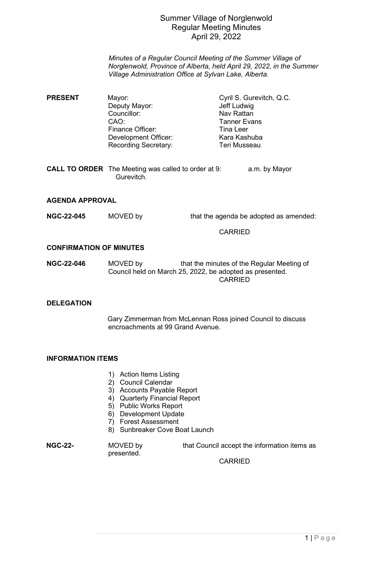# Summer Village of Norglenwold Regular Meeting Minutes April 29, 2022

*Minutes of a Regular Council Meeting of the Summer Village of Norglenwold, Province of Alberta, held April 29, 2022, in the Summer Village Administration Office at Sylvan Lake, Alberta.*

- **PRESENT** Mayor: Mayor: Cyril S. Gurevitch, Q.C. Deputy Mayor: Jeff Ludwig Councillor: Nav Rattan<br>CAO: Tanner Eva Tanner Evans<br>Tina I eer Finance Officer: Tina Leer<br>Development Officer: The Kara Kashuba Development Officer: Kara Kashuba Recording Secretary:
- **CALL TO ORDER** The Meeting was called to order at 9: a.m. by Mayor Gurevitch.

### **AGENDA APPROVAL**

**NGC-22-045** MOVED by that the agenda be adopted as amended:

#### CARRIED

#### **CONFIRMATION OF MINUTES**

**NGC-22-046** MOVED by that the minutes of the Regular Meeting of Council held on March 25, 2022, be adopted as presented. **CARRIED** 

## **DELEGATION**

Gary Zimmerman from McLennan Ross joined Council to discuss encroachments at 99 Grand Avenue.

# **INFORMATION ITEMS**

- 1) Action Items Listing
- 2) Council Calendar
- 3) Accounts Payable Report
- 4) Quarterly Financial Report
- 5) Public Works Report
- 6) Development Update
- 7) Forest Assessment
- 8) Sunbreaker Cove Boat Launch

presented.

**NGC-22-** MOVED by that Council accept the information items as

CARRIED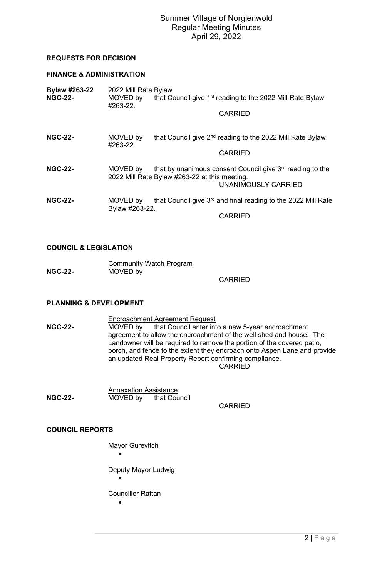# Summer Village of Norglenwold Regular Meeting Minutes April 29, 2022

## **REQUESTS FOR DECISION**

# **FINANCE & ADMINISTRATION**

| <b>Bylaw #263-22</b><br><b>NGC-22-</b> | 2022 Mill Rate Bylaw<br>MOVED by<br>#263-22. | that Council give 1 <sup>st</sup> reading to the 2022 Mill Rate Bylaw                                                                         |  |
|----------------------------------------|----------------------------------------------|-----------------------------------------------------------------------------------------------------------------------------------------------|--|
|                                        |                                              | <b>CARRIED</b>                                                                                                                                |  |
| <b>NGC-22-</b>                         | MOVED by<br>#263-22.                         | that Council give 2 <sup>nd</sup> reading to the 2022 Mill Rate Bylaw<br><b>CARRIED</b>                                                       |  |
| <b>NGC-22-</b>                         | MOVED by                                     | that by unanimous consent Council give 3 <sup>rd</sup> reading to the<br>2022 Mill Rate Bylaw #263-22 at this meeting.<br>UNANIMOUSLY CARRIED |  |
| <b>NGC-22-</b>                         | MOVED by<br>Bylaw #263-22.                   | that Council give 3 <sup>rd</sup> and final reading to the 2022 Mill Rate<br><b>CARRIED</b>                                                   |  |

#### **COUNCIL & LEGISLATION**

|                | <b>Community Watch Program</b> |  |  |  |
|----------------|--------------------------------|--|--|--|
| <b>NGC-22-</b> | MOVED by                       |  |  |  |

**CARRIED** 

### **PLANNING & DEVELOPMENT**

- Encroachment Agreement Request<br>MOVED by that Council enter int that Council enter into a new 5-year encroachment agreement to allow the encroachment of the well shed and house. The Landowner will be required to remove the portion of the covered patio, porch, and fence to the extent they encroach onto Aspen Lane and provide an updated Real Property Report confirming compliance. CARRIED
- Annexation Assistance<br>MOVED by that Cou **MOVED by that Council**

CARRIED

### **COUNCIL REPORTS**

- Mayor Gurevitch
	- •

Deputy Mayor Ludwig

•

Councillor Rattan

•